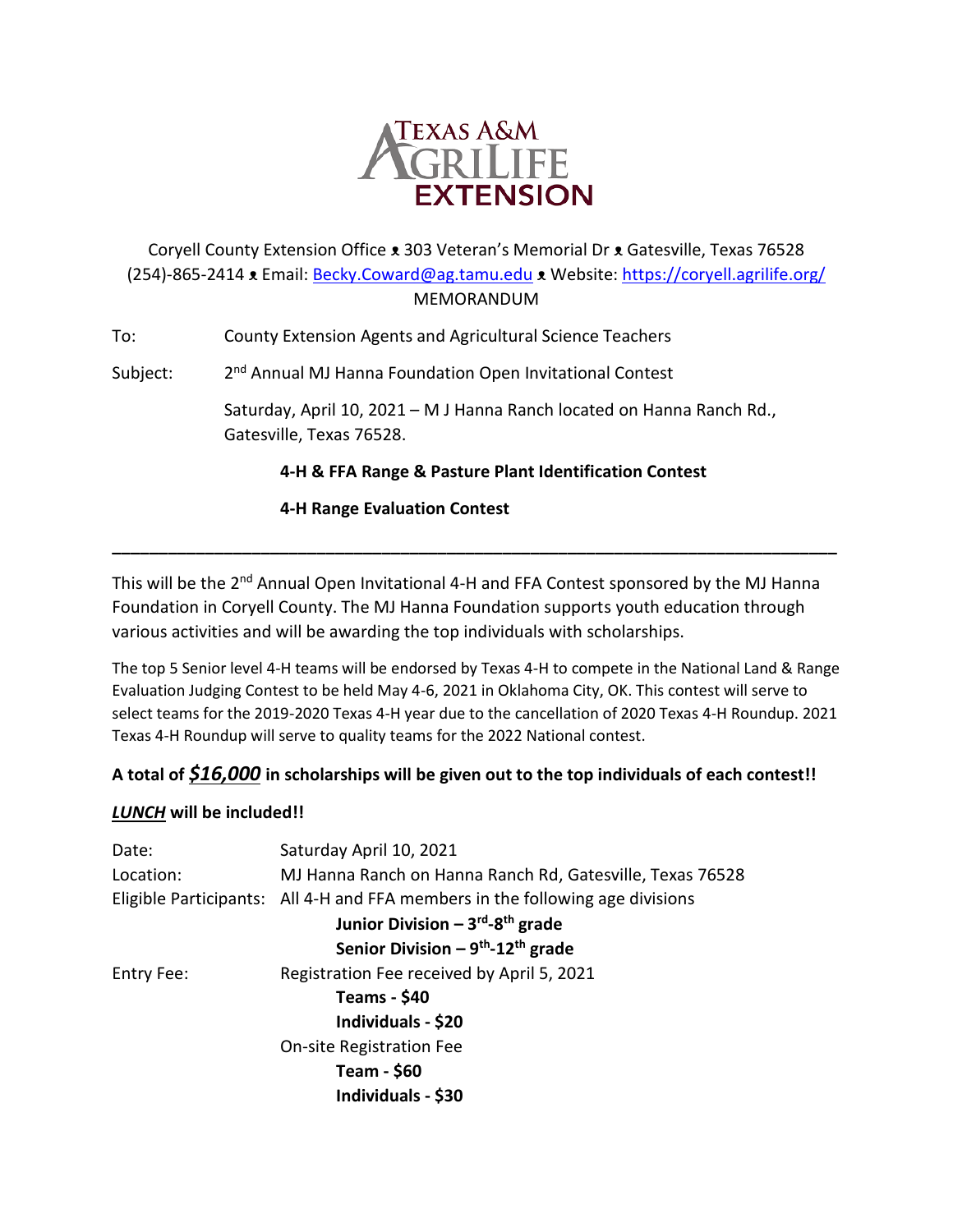

# Coryell County Extension Office ᴥ 303 Veteran's Memorial Dr ᴥ Gatesville, Texas 76528 (254)-865-2414 ᴥ Email: [Becky.Coward@ag.tamu.edu](mailto:Becky.Coward@ag.tamu.edu) ᴥ Website[: https://coryell.agrilife.org/](https://coryell.agrilife.org/) MEMORANDUM

To: County Extension Agents and Agricultural Science Teachers

Subject: 2<sup>nd</sup> Annual MJ Hanna Foundation Open Invitational Contest

> Saturday, April 10, 2021 – M J Hanna Ranch located on Hanna Ranch Rd., Gatesville, Texas 76528.

**4-H & FFA Range & Pasture Plant Identification Contest**

**4-H Range Evaluation Contest**

This will be the 2<sup>nd</sup> Annual Open Invitational 4-H and FFA Contest sponsored by the MJ Hanna Foundation in Coryell County. The MJ Hanna Foundation supports youth education through various activities and will be awarding the top individuals with scholarships.

**\_\_\_\_\_\_\_\_\_\_\_\_\_\_\_\_\_\_\_\_\_\_\_\_\_\_\_\_\_\_\_\_\_\_\_\_\_\_\_\_\_\_\_\_\_\_\_\_\_\_\_\_\_\_\_\_\_\_\_\_\_\_\_\_\_\_\_\_\_\_\_\_\_\_\_\_\_\_**

The top 5 Senior level 4-H teams will be endorsed by Texas 4-H to compete in the National Land & Range Evaluation Judging Contest to be held May 4-6, 2021 in Oklahoma City, OK. This contest will serve to select teams for the 2019-2020 Texas 4-H year due to the cancellation of 2020 Texas 4-H Roundup. 2021 Texas 4-H Roundup will serve to quality teams for the 2022 National contest.

# **A total of** *\$16,000* **in scholarships will be given out to the top individuals of each contest!!**

# *LUNCH* **will be included!!**

| Date:      | Saturday April 10, 2021                                                       |  |  |  |  |
|------------|-------------------------------------------------------------------------------|--|--|--|--|
| Location:  | MJ Hanna Ranch on Hanna Ranch Rd, Gatesville, Texas 76528                     |  |  |  |  |
|            | Eligible Participants: All 4-H and FFA members in the following age divisions |  |  |  |  |
|            | Junior Division $-3^{rd} - 8^{th}$ grade                                      |  |  |  |  |
|            | Senior Division $-9^{th}$ -12 <sup>th</sup> grade                             |  |  |  |  |
| Entry Fee: | Registration Fee received by April 5, 2021                                    |  |  |  |  |
|            | <b>Teams - \$40</b>                                                           |  |  |  |  |
|            | Individuals - \$20                                                            |  |  |  |  |
|            | On-site Registration Fee                                                      |  |  |  |  |
|            | Team - \$60                                                                   |  |  |  |  |
|            | Individuals - \$30                                                            |  |  |  |  |
|            |                                                                               |  |  |  |  |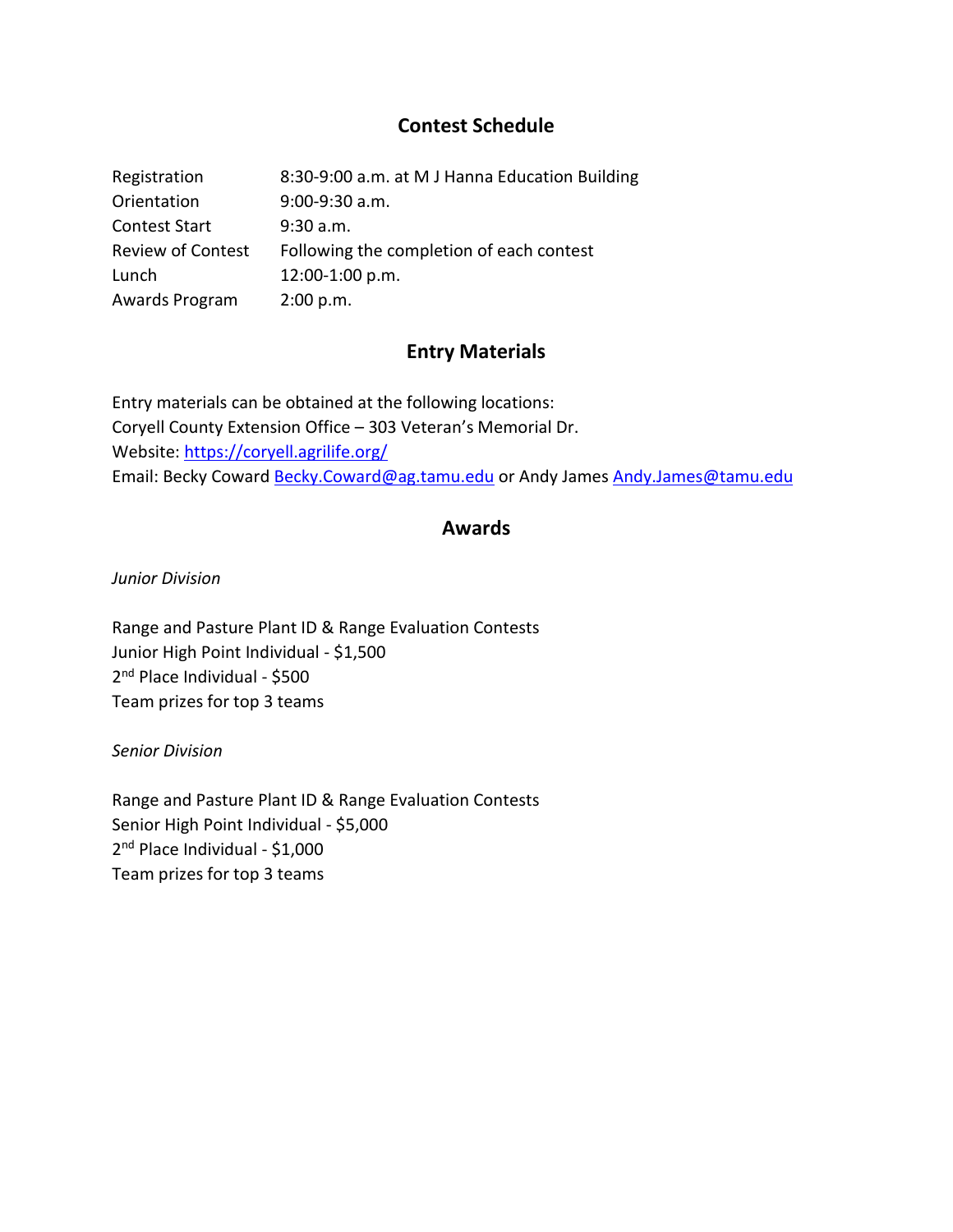# **Contest Schedule**

| Registration             | 8:30-9:00 a.m. at M J Hanna Education Building |  |  |
|--------------------------|------------------------------------------------|--|--|
| Orientation              | $9:00-9:30$ a.m.                               |  |  |
| <b>Contest Start</b>     | 9:30 a.m.                                      |  |  |
| <b>Review of Contest</b> | Following the completion of each contest       |  |  |
| Lunch                    | 12:00-1:00 p.m.                                |  |  |
| Awards Program           | 2:00 p.m.                                      |  |  |

# **Entry Materials**

Entry materials can be obtained at the following locations: Coryell County Extension Office – 303 Veteran's Memorial Dr. Website:<https://coryell.agrilife.org/> Email: Becky Coward [Becky.Coward@ag.tamu.edu](mailto:Becky.Coward@ag.tamu.edu) or Andy Jame[s Andy.James@tamu.edu](mailto:Andy.James@tamu.edu)

## **Awards**

## *Junior Division*

Range and Pasture Plant ID & Range Evaluation Contests Junior High Point Individual - \$1,500 2<sup>nd</sup> Place Individual - \$500 Team prizes for top 3 teams

### *Senior Division*

Range and Pasture Plant ID & Range Evaluation Contests Senior High Point Individual - \$5,000 2<sup>nd</sup> Place Individual - \$1,000 Team prizes for top 3 teams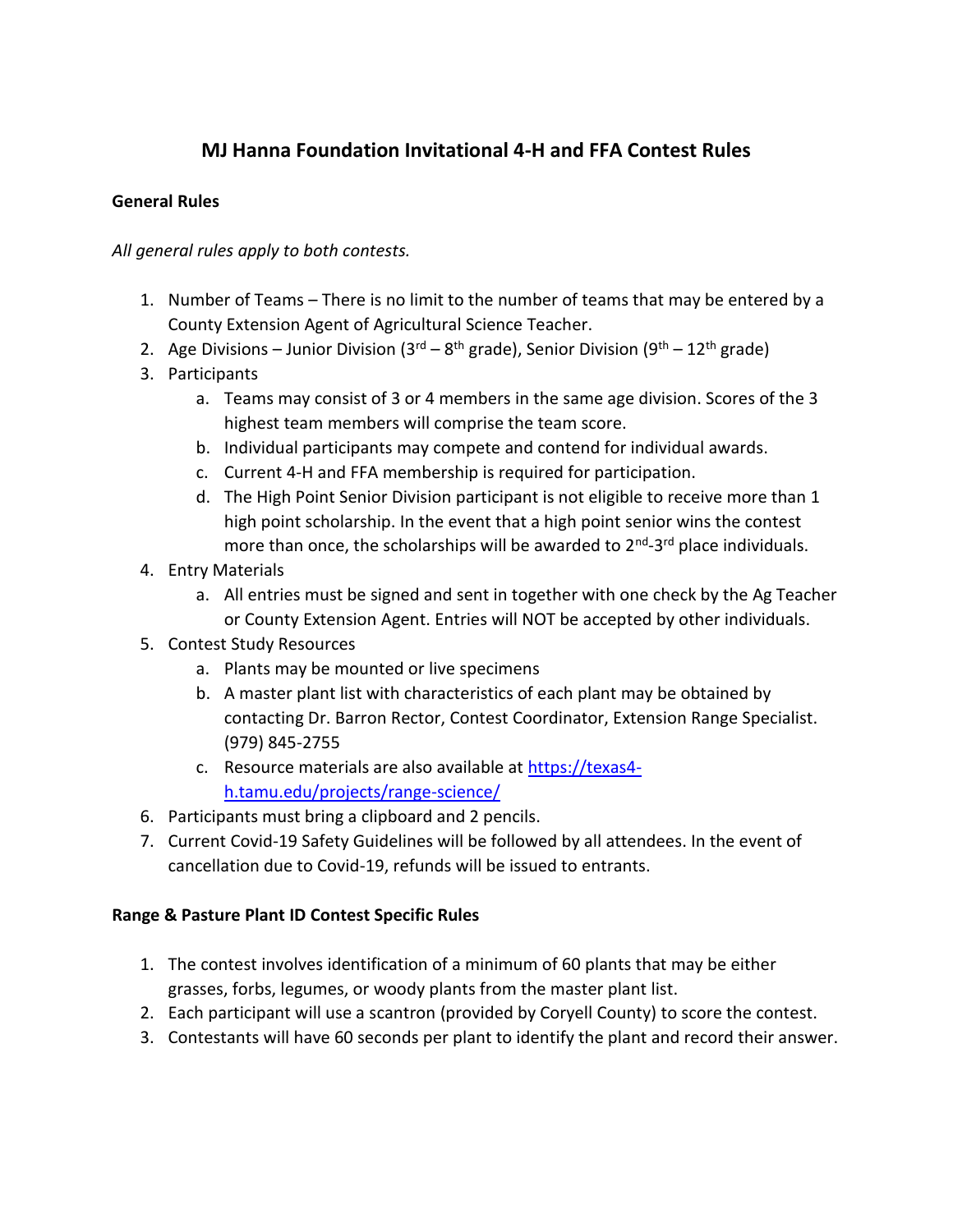# **MJ Hanna Foundation Invitational 4-H and FFA Contest Rules**

# **General Rules**

*All general rules apply to both contests.*

- 1. Number of Teams There is no limit to the number of teams that may be entered by a County Extension Agent of Agricultural Science Teacher.
- 2. Age Divisions Junior Division (3<sup>rd</sup> 8<sup>th</sup> grade), Senior Division (9<sup>th</sup> 12<sup>th</sup> grade)
- 3. Participants
	- a. Teams may consist of 3 or 4 members in the same age division. Scores of the 3 highest team members will comprise the team score.
	- b. Individual participants may compete and contend for individual awards.
	- c. Current 4-H and FFA membership is required for participation.
	- d. The High Point Senior Division participant is not eligible to receive more than 1 high point scholarship. In the event that a high point senior wins the contest more than once, the scholarships will be awarded to 2<sup>nd</sup>-3<sup>rd</sup> place individuals.
- 4. Entry Materials
	- a. All entries must be signed and sent in together with one check by the Ag Teacher or County Extension Agent. Entries will NOT be accepted by other individuals.
- 5. Contest Study Resources
	- a. Plants may be mounted or live specimens
	- b. A master plant list with characteristics of each plant may be obtained by contacting Dr. Barron Rector, Contest Coordinator, Extension Range Specialist. (979) 845-2755
	- c. Resource materials are also available at [https://texas4](https://texas4-h.tamu.edu/projects/range-science/) [h.tamu.edu/projects/range-science/](https://texas4-h.tamu.edu/projects/range-science/)
- 6. Participants must bring a clipboard and 2 pencils.
- 7. Current Covid-19 Safety Guidelines will be followed by all attendees. In the event of cancellation due to Covid-19, refunds will be issued to entrants.

# **Range & Pasture Plant ID Contest Specific Rules**

- 1. The contest involves identification of a minimum of 60 plants that may be either grasses, forbs, legumes, or woody plants from the master plant list.
- 2. Each participant will use a scantron (provided by Coryell County) to score the contest.
- 3. Contestants will have 60 seconds per plant to identify the plant and record their answer.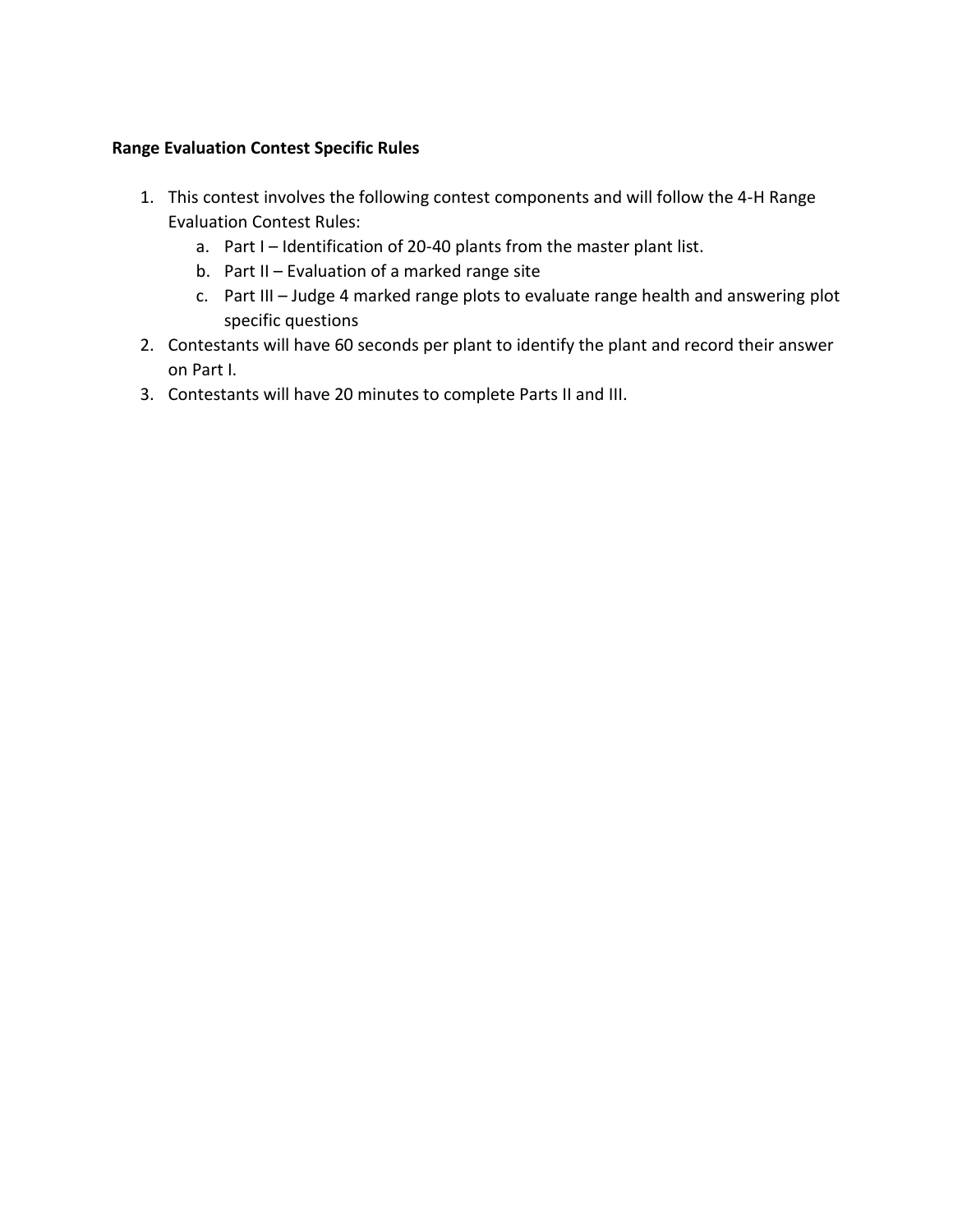# **Range Evaluation Contest Specific Rules**

- 1. This contest involves the following contest components and will follow the 4-H Range Evaluation Contest Rules:
	- a. Part I Identification of 20-40 plants from the master plant list.
	- b. Part II Evaluation of a marked range site
	- c. Part III Judge 4 marked range plots to evaluate range health and answering plot specific questions
- 2. Contestants will have 60 seconds per plant to identify the plant and record their answer on Part I.
- 3. Contestants will have 20 minutes to complete Parts II and III.